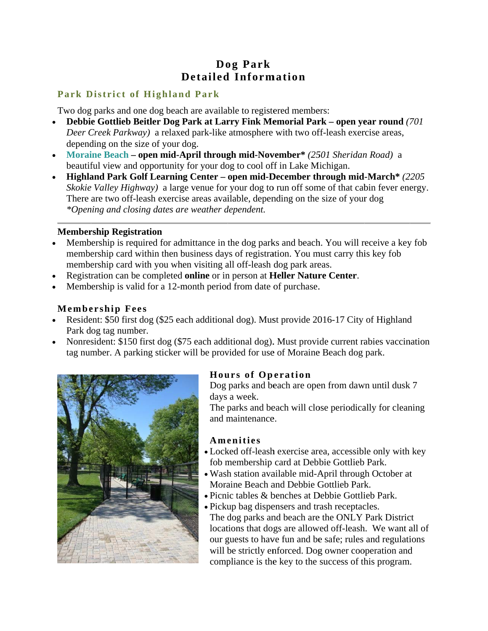# Dog Park **Detailed Information**

## **Park District of Highland Park**

Two dog parks and one dog beach are available to registered members:

- Debbie Gottlieb Beitler Dog Park at Larry Fink Memorial Park open year round (701) Deer Creek Parkway) a relaxed park-like atmosphere with two off-leash exercise areas, depending on the size of your dog.
- Moraine Beach open mid-April through mid-November\* (2501 Sheridan Road) a beautiful view and opportunity for your dog to cool off in Lake Michigan.
- Highland Park Golf Learning Center open mid-December through mid-March\* (2205)  $\bullet$ Skokie Valley Highway) a large venue for your dog to run off some of that cabin fever energy. There are two off-leash exercise areas available, depending on the size of your dog \*Opening and closing dates are weather dependent.

## **Membership Registration**

- Membership is required for admittance in the dog parks and beach. You will receive a key fob membership card within then business days of registration. You must carry this key fob membership card with you when visiting all off-leash dog park areas.
- Registration can be completed online or in person at Heller Nature Center.
- Membership is valid for a 12-month period from date of purchase.

# **Membership Fees**

- Resident: \$50 first dog (\$25 each additional dog). Must provide 2016-17 City of Highland Park dog tag number.
- Nonresident: \$150 first dog (\$75 each additional dog). Must provide current rabies vaccination tag number. A parking sticker will be provided for use of Moraine Beach dog park.



# **Hours of Operation**

Dog parks and beach are open from dawn until dusk 7 days a week.

The parks and beach will close periodically for cleaning and maintenance.

## Amenities

- Locked off-leash exercise area, accessible only with key fob membership card at Debbie Gottlieb Park.
- . Wash station available mid-April through October at Moraine Beach and Debbie Gottlieb Park.
- Picnic tables & benches at Debbie Gottlieb Park.
- Pickup bag dispensers and trash receptacles. The dog parks and beach are the ONLY Park District locations that dogs are allowed off-leash. We want all of our guests to have fun and be safe; rules and regulations will be strictly enforced. Dog owner cooperation and compliance is the key to the success of this program.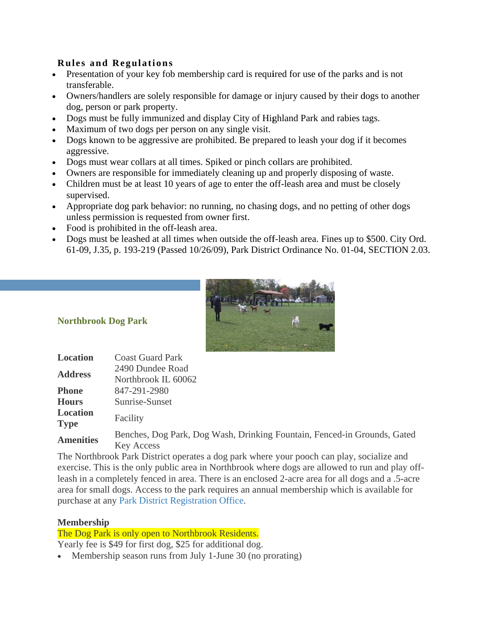## **Rules and Regulations**

- Presentation of your key fob membership card is required for use of the parks and is not transferable.
- Owners/handlers are solely responsible for damage or injury caused by their dogs to another dog, person or park property.
- Dogs must be fully immunized and display City of Highland Park and rabies tags.
- Maximum of two dogs per person on any single visit.
- Dogs known to be aggressive are prohibited. Be prepared to leash your dog if it becomes aggressive.
- Dogs must wear collars at all times. Spiked or pinch collars are prohibited.
- Owners are responsible for immediately cleaning up and properly disposing of waste.
- Children must be at least 10 years of age to enter the off-leash area and must be closely supervised.
- Appropriate dog park behavior: no running, no chasing dogs, and no petting of other dogs  $\bullet$ unless permission is requested from owner first.
- Food is prohibited in the off-leash area.
- Dogs must be leashed at all times when outside the off-leash area. Fines up to \$500. City Ord. 61-09, J.35, p. 193-219 (Passed 10/26/09), Park District Ordinance No. 01-04, SECTION 2.03.



## **Northbrook Dog Park**

| Location                                                  | <b>Coast Guard Park</b>                                              |  |  |
|-----------------------------------------------------------|----------------------------------------------------------------------|--|--|
| <b>Address</b>                                            | 2490 Dundee Road                                                     |  |  |
|                                                           | Northbrook IL 60062                                                  |  |  |
| <b>Phone</b>                                              | 847-291-2980                                                         |  |  |
| <b>Hours</b>                                              | Sunrise-Sunset                                                       |  |  |
| <b>Location</b>                                           | Facility                                                             |  |  |
| <b>Type</b>                                               |                                                                      |  |  |
| $\lambda$ - $\lambda$ - $\lambda$ - $\lambda$ - $\lambda$ | Benches, Dog Park, Dog Wash, Drinking Fountain, Fenced-in Grounds, C |  |  |

Fated **Amenities Key Access** 

The Northbrook Park District operates a dog park where your pooch can play, socialize and exercise. This is the only public area in Northbrook where dogs are allowed to run and play offleash in a completely fenced in area. There is an enclosed 2-acre area for all dogs and a .5-acre area for small dogs. Access to the park requires an annual membership which is available for purchase at any Park District Registration Office.

## **Membership**

The Dog Park is only open to Northbrook Residents.

Yearly fee is \$49 for first dog, \$25 for additional dog.

• Membership season runs from July 1-June 30 (no prorating)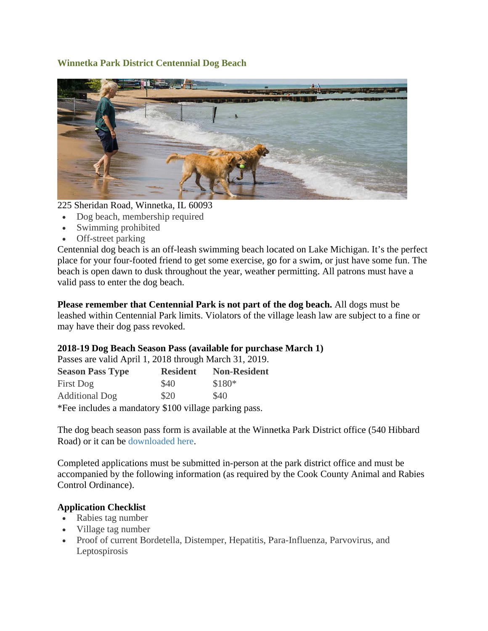## **Winnetka Park District Centennial Dog Beach**



225 Sheridan Road, Winnetka, IL 60093

- Dog beach, membership required
- Swimming prohibited
- Off-street parking

Centennial dog beach is an off-leash swimming beach located on Lake Michigan. It's the perfect place for your four-footed friend to get some exercise, go for a swim, or just have some fun. The beach is open dawn to dusk throughout the year, weather permitting. All patrons must have a valid pass to enter the dog beach.

**Please remember that Centennial Park is not part of the dog beach. All dogs must be** leashed within Centennial Park limits. Violators of the village leash law are subject to a fine or may have their dog pass revoked.

## 2018-19 Dog Beach Season Pass (available for purchase March 1)

Passes are valid April 1, 2018 through March 31, 2019.

| <b>Season Pass Type</b> | <b>Resident</b> | <b>Non-Resident</b> |
|-------------------------|-----------------|---------------------|
| First Dog               | \$40            | $$180*$             |
| <b>Additional Dog</b>   | \$20            | \$40                |
| $\mathbf{1}$            | $A100 \cdot 11$ |                     |

\*Fee incl ludes a mand datory \$100 village park king pass.

The dog beach season pass form is available at the Winnetka Park District office (540 Hibbard Road) or it can be downloaded here.

Completed applications must be submitted in-person at the park district office and must be accompanied by the following information (as required by the Cook County Animal and Rabies Control O Ordinance).

## **Application Checklist**

- Rabies tag number
- Village tag number
- Proof of current Bordetella, Distemper, Hepatitis, Para-Influenza, Parvovirus, and Lep tospirosis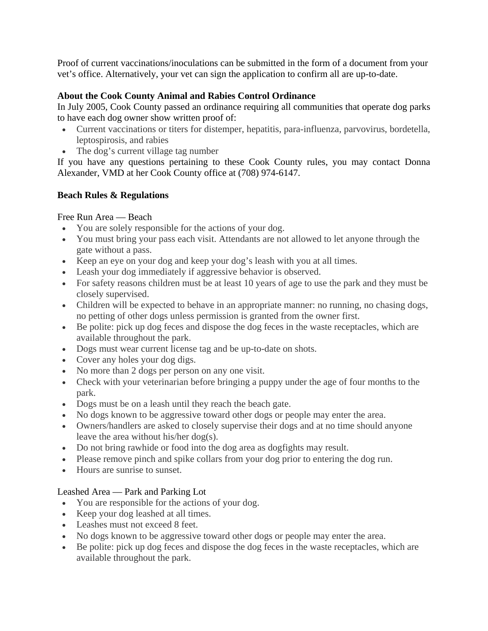Proof of current vaccinations/inoculations can be submitted in the form of a document from your vet's office. Alternatively, your vet can sign the application to confirm all are up-to-date.

## **About the Cook County Animal and Rabies Control Ordinance**

In July 2005, Cook County passed an ordinance requiring all communities that operate dog parks to have each dog owner show written proof of:

- Current vaccinations or titers for distemper, hepatitis, para-influenza, parvovirus, bordetella, leptospirosis, and rabies
- The dog's current village tag number

If you have any questions pertaining to these Cook County rules, you may contact Donna Alexander, VMD at her Cook County office at (708) 974-6147.

## **Beach Rules & Regulations**

## Free Run Area — Beach

- You are solely responsible for the actions of your dog.
- You must bring your pass each visit. Attendants are not allowed to let anyone through the gate without a pass.
- Keep an eye on your dog and keep your dog's leash with you at all times.
- Leash your dog immediately if aggressive behavior is observed.
- For safety reasons children must be at least 10 years of age to use the park and they must be closely supervised.
- Children will be expected to behave in an appropriate manner: no running, no chasing dogs, no petting of other dogs unless permission is granted from the owner first.
- Be polite: pick up dog feces and dispose the dog feces in the waste receptacles, which are available throughout the park.
- Dogs must wear current license tag and be up-to-date on shots.
- Cover any holes your dog digs.
- No more than 2 dogs per person on any one visit.
- Check with your veterinarian before bringing a puppy under the age of four months to the park.
- Dogs must be on a leash until they reach the beach gate.
- No dogs known to be aggressive toward other dogs or people may enter the area.
- Owners/handlers are asked to closely supervise their dogs and at no time should anyone leave the area without his/her dog(s).
- Do not bring rawhide or food into the dog area as dogfights may result.
- Please remove pinch and spike collars from your dog prior to entering the dog run.
- Hours are sunrise to sunset.

## Leashed Area — Park and Parking Lot

- You are responsible for the actions of your dog.
- Keep your dog leashed at all times.
- Leashes must not exceed 8 feet.
- No dogs known to be aggressive toward other dogs or people may enter the area.
- Be polite: pick up dog feces and dispose the dog feces in the waste receptacles, which are available throughout the park.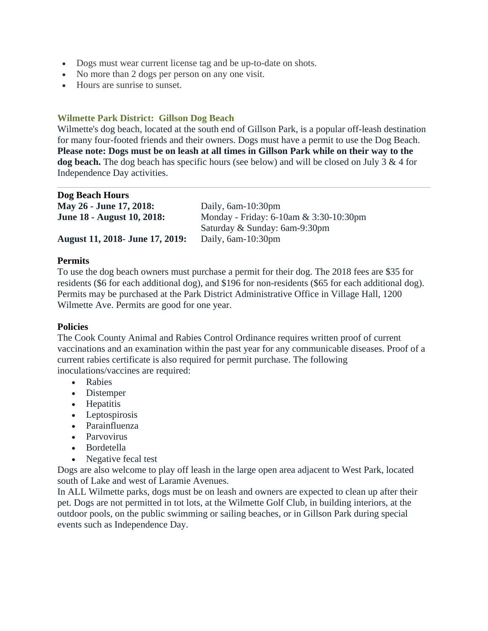- Dogs must wear current license tag and be up-to-date on shots.
- No more than 2 dogs per person on any one visit.
- Hours are sunrise to sunset.

#### **Wilmette Park District: Gillson Dog Beach**

Wilmette's dog beach, located at the south end of Gillson Park, is a popular off-leash destination for many four-footed friends and their owners. Dogs must have a permit to use the Dog Beach. **Please note: Dogs must be on leash at all times in Gillson Park while on their way to the dog beach.** The dog beach has specific hours (see below) and will be closed on July 3 & 4 for Independence Day activities.

| <b>Dog Beach Hours</b>                 |                                              |  |
|----------------------------------------|----------------------------------------------|--|
| <b>May 26 - June 17, 2018:</b>         | Daily, $6am-10:30pm$                         |  |
| <b>June 18 - August 10, 2018:</b>      | Monday - Friday: $6-10$ am & $3:30-10:30$ pm |  |
|                                        | Saturday & Sunday: 6am-9:30pm                |  |
| <b>August 11, 2018- June 17, 2019:</b> | Daily, $6am-10:30pm$                         |  |

#### **Permits**

To use the dog beach owners must purchase a permit for their dog. The 2018 fees are \$35 for residents (\$6 for each additional dog), and \$196 for non-residents (\$65 for each additional dog). Permits may be purchased at the Park District Administrative Office in Village Hall, 1200 Wilmette Ave. Permits are good for one year.

#### **Policies**

The Cook County Animal and Rabies Control Ordinance requires written proof of current vaccinations and an examination within the past year for any communicable diseases. Proof of a current rabies certificate is also required for permit purchase. The following inoculations/vaccines are required:

- Rabies
- Distemper
- Hepatitis
- Leptospirosis
- Parainfluenza
- Parvovirus
- Bordetella
- Negative fecal test

Dogs are also welcome to play off leash in the large open area adjacent to West Park, located south of Lake and west of Laramie Avenues.

In ALL Wilmette parks, dogs must be on leash and owners are expected to clean up after their pet. Dogs are not permitted in tot lots, at the Wilmette Golf Club, in building interiors, at the outdoor pools, on the public swimming or sailing beaches, or in Gillson Park during special events such as Independence Day.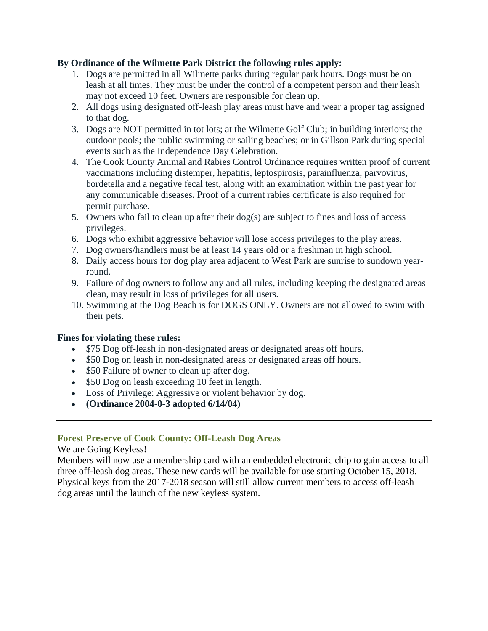### **By Ordinance of the Wilmette Park District the following rules apply:**

- 1. Dogs are permitted in all Wilmette parks during regular park hours. Dogs must be on leash at all times. They must be under the control of a competent person and their leash may not exceed 10 feet. Owners are responsible for clean up.
- 2. All dogs using designated off-leash play areas must have and wear a proper tag assigned to that dog.
- 3. Dogs are NOT permitted in tot lots; at the Wilmette Golf Club; in building interiors; the outdoor pools; the public swimming or sailing beaches; or in Gillson Park during special events such as the Independence Day Celebration.
- 4. The Cook County Animal and Rabies Control Ordinance requires written proof of current vaccinations including distemper, hepatitis, leptospirosis, parainfluenza, parvovirus, bordetella and a negative fecal test, along with an examination within the past year for any communicable diseases. Proof of a current rabies certificate is also required for permit purchase.
- 5. Owners who fail to clean up after their  $\log(s)$  are subject to fines and loss of access privileges.
- 6. Dogs who exhibit aggressive behavior will lose access privileges to the play areas.
- 7. Dog owners/handlers must be at least 14 years old or a freshman in high school.
- 8. Daily access hours for dog play area adjacent to West Park are sunrise to sundown yearround.
- 9. Failure of dog owners to follow any and all rules, including keeping the designated areas clean, may result in loss of privileges for all users.
- 10. Swimming at the Dog Beach is for DOGS ONLY. Owners are not allowed to swim with their pets.

#### **Fines for violating these rules:**

- \$75 Dog off-leash in non-designated areas or designated areas off hours.
- \$50 Dog on leash in non-designated areas or designated areas off hours.
- \$50 Failure of owner to clean up after dog.
- \$50 Dog on leash exceeding 10 feet in length.
- Loss of Privilege: Aggressive or violent behavior by dog.
- **(Ordinance 2004-0-3 adopted 6/14/04)**

## **Forest Preserve of Cook County: Off-Leash Dog Areas**

#### We are Going Keyless!

Members will now use a membership card with an embedded electronic chip to gain access to all three off-leash dog areas. These new cards will be available for use starting October 15, 2018. Physical keys from the 2017-2018 season will still allow current members to access off-leash dog areas until the launch of the new keyless system.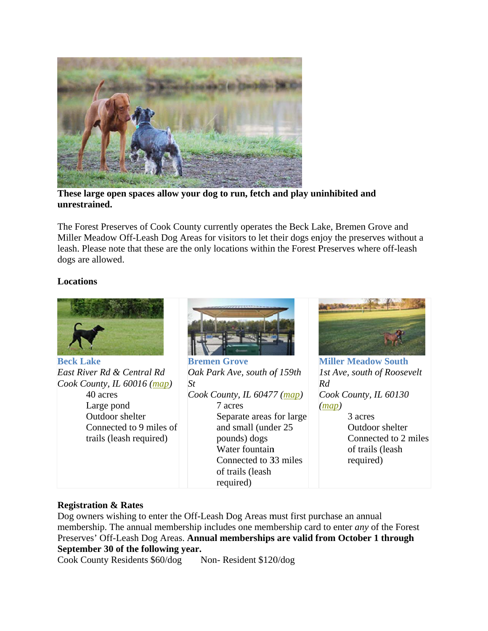

These large open spaces allow your dog to run, fetch and play uninhibited and unrestrained.

The Forest Preserves of Cook County currently operates the Beck Lake, Bremen Grove and Miller Meadow Off-Leash Dog Areas for visitors to let their dogs enjoy the preserves without a leash. Please note that these are the only locations within the Forest Preserves where off-leash dogs are allowed.

#### **Locations**



#### **Registration & Rates**

Dog owners wishing to enter the Off-Leash Dog Areas must first purchase an annual membership. The annual membership includes one membership card to enter *any* of the Forest Preserves' Off-Leash Dog Areas. Annual memberships are valid from October 1 through September 30 of the following year.

Cook County Residents \$60/dog Non-Resident \$120/dog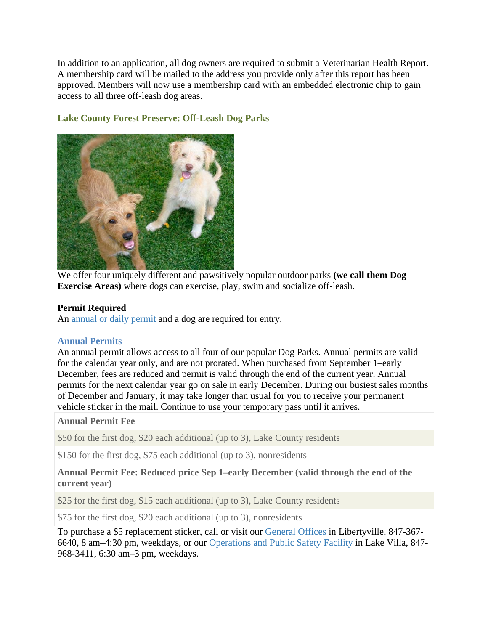In addition to an application, all dog owners are required to submit a Veterinarian Health Report. A membership card will be mailed to the address you provide only after this report has been approved. Members will now use a membership card with an embedded electronic chip to gain access to all three off-leash dog areas.



### **Lake County Forest Preserve: Off-Leash Dog Parks**

We offer four uniquely different and pawsitively popular outdoor parks (we call them Dog **Exercise Areas**) where dogs can exercise, play, swim and socialize off-leash.

#### **Permit Required**

An annual or daily permit and a dog are required for entry.

#### **Annual Permits**

An annual permit allows access to all four of our popular Dog Parks. Annual permits are valid for the calendar year only, and are not prorated. When purchased from September 1-early December, fees are reduced and permit is valid through the end of the current year. Annual permits for the next calendar year go on sale in early December. During our busiest sales months of December and January, it may take longer than usual for you to receive your permanent vehicle sticker in the mail. Continue to use your temporary pass until it arrives.

#### **Annual Permit Fee**

\$50 for the first dog, \$20 each additional (up to 3), Lake County residents

\$150 for the first dog, \$75 each additional (up to 3), nonresidents

#### Annual Permit Fee: Reduced price Sep 1-early December (valid through the end of the current year)

\$25 for the first dog, \$15 each additional (up to 3), Lake County residents

\$75 for the first dog, \$20 each additional (up to 3), nonresidents

To purchase a \$5 replacement sticker, call or visit our General Offices in Libertyville, 847-367-6640, 8 am–4:30 pm, weekdays, or our Operations and Public Safety Facility in Lake Villa, 847-968-3411, 6:30 am-3 pm, weekdays.